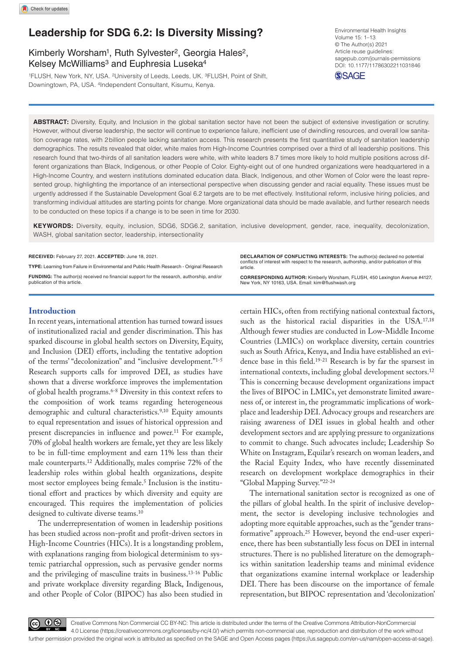# **Leadership for SDG 6.2: Is Diversity Missing?**

# Kimberly Worsham<sup>1</sup>, Ruth Sylvester<sup>2</sup>, Georgia Hales<sup>2</sup>, Kelsey McWilliams<sup>3</sup> and Euphresia Luseka<sup>4</sup>

1FLUSH, New York, NY, USA. 2University of Leeds, Leeds, UK. 3FLUSH, Point of Shift, Downingtown, PA, USA. 4Independent Consultant, Kisumu, Kenya.

https://doi.org/10.1177/11786302211031846 DOI: 10.1177/11786302211031846 Environmental Health Insights Volume 15: 1–13 © The Author(s) 2021 Article reuse guidelines: [sagepub.com/journals-permissions](https://uk.sagepub.com/en-gb/journals-permissions)



**ABSTRACT:** Diversity, Equity, and Inclusion in the global sanitation sector have not been the subject of extensive investigation or scrutiny. However, without diverse leadership, the sector will continue to experience failure, inefficient use of dwindling resources, and overall low sanitation coverage rates, with 2billion people lacking sanitation access. This research presents the first quantitative study of sanitation leadership demographics. The results revealed that older, white males from High-Income Countries comprised over a third of all leadership positions. This research found that two-thirds of all sanitation leaders were white, with white leaders 8.7 times more likely to hold multiple positions across different organizations than Black, Indigenous, or other People of Color. Eighty-eight out of one hundred organizations were headquartered in a High-Income Country, and western institutions dominated education data. Black, Indigenous, and other Women of Color were the least represented group, highlighting the importance of an intersectional perspective when discussing gender and racial equality. These issues must be urgently addressed if the Sustainable Development Goal 6.2 targets are to be met effectively. Institutional reform, inclusive hiring policies, and transforming individual attitudes are starting points for change. More organizational data should be made available, and further research needs to be conducted on these topics if a change is to be seen in time for 2030.

**Keywords:** Diversity, equity, inclusion, SDG6, SDG6.2, sanitation, inclusive development, gender, race, inequality, decolonization, WASH, global sanitation sector, leadership, intersectionality

#### **RECEIVED:** February 27, 2021. **ACCEPTED:** June 18, 2021.

**Type:** Learning from Failure in Environmental and Public Health Research - Original Research **Funding:** The author(s) received no financial support for the research, authorship, and/or publication of this article.

**Introduction**

In recent years, international attention has turned toward issues of institutionalized racial and gender discrimination. This has sparked discourse in global health sectors on Diversity, Equity, and Inclusion (DEI) efforts, including the tentative adoption of the terms' "decolonization" and "inclusive development."1-5 Research supports calls for improved DEI, as studies have shown that a diverse workforce improves the implementation of global health programs.<sup>6-8</sup> Diversity in this context refers to the composition of work teams regarding heterogeneous demographic and cultural characteristics.<sup>9,10</sup> Equity amounts to equal representation and issues of historical oppression and present discrepancies in influence and power.<sup>11</sup> For example, 70% of global health workers are female, yet they are less likely to be in full-time employment and earn 11% less than their male counterparts.12 Additionally, males comprise 72% of the leadership roles within global health organizations, despite most sector employees being female.5 Inclusion is the institutional effort and practices by which diversity and equity are encouraged. This requires the implementation of policies designed to cultivate diverse teams.<sup>10</sup>

The underrepresentation of women in leadership positions has been studied across non-profit and profit-driven sectors in High-Income Countries (HICs). It is a longstanding problem, with explanations ranging from biological determinism to systemic patriarchal oppression, such as pervasive gender norms and the privileging of masculine traits in business.13-16 Public and private workplace diversity regarding Black, Indigenous, and other People of Color (BIPOC) has also been studied in **Declaration of conflicting interests:** The author(s) declared no potential conflicts of interest with respect to the research, authorship, and/or publication of this article.

**CORRESPONDING AUTHOR:** Kimberly Worsham, FLUSH, 450 Lexington Avenue #4127, New York, NY 10163, USA. Email: [kim@flushwash.org](mailto:kim@flushwash.org)

certain HICs, often from rectifying national contextual factors, such as the historical racial disparities in the USA.17,18 Although fewer studies are conducted in Low-Middle Income Countries (LMICs) on workplace diversity, certain countries such as South Africa, Kenya, and India have established an evidence base in this field.19-21 Research is by far the sparsest in international contexts, including global development sectors.12 This is concerning because development organizations impact the lives of BIPOC in LMICs, yet demonstrate limited awareness of, or interest in, the programmatic implications of workplace and leadership DEI. Advocacy groups and researchers are raising awareness of DEI issues in global health and other development sectors and are applying pressure to organizations to commit to change. Such advocates include; Leadership So White on Instagram, Equilar's research on woman leaders, and the Racial Equity Index, who have recently disseminated research on development workplace demographics in their "Global Mapping Survey."22-24

The international sanitation sector is recognized as one of the pillars of global health. In the spirit of inclusive development, the sector is developing inclusive technologies and adopting more equitable approaches, such as the "gender transformative" approach.25 However, beyond the end-user experience, there has been substantially less focus on DEI in internal structures. There is no published literature on the demographics within sanitation leadership teams and minimal evidence that organizations examine internal workplace or leadership DEI. There has been discourse on the importance of female representation, but BIPOC representation and 'decolonization'



Creative Commons Non Commercial CC BY-NC: This article is distributed under the terms of the Creative Commons Attribution-NonCommercial 4.0 License (https://creativecommons.org/licenses/by-nc/4.0/) which permits non-commercial use, reproduction and distribution of the work without further permission provided the original work is attributed as specified on the SAGE and Open Access pages (https://us.sagepub.com/en-us/nam/open-access-at-sage).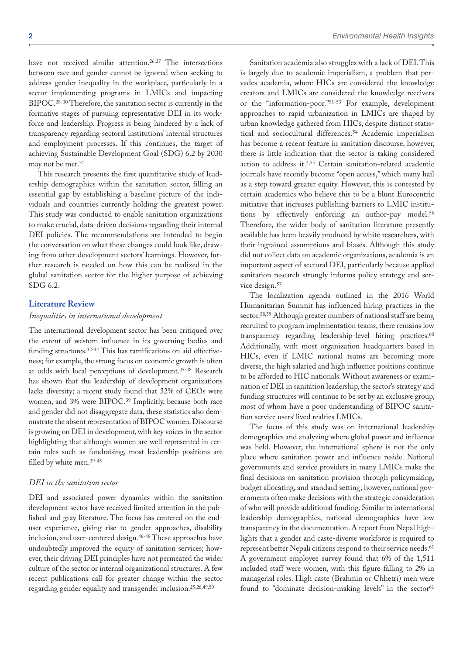have not received similar attention.<sup>26,27</sup> The intersections between race and gender cannot be ignored when seeking to address gender inequality in the workplace, particularly in a sector implementing programs in LMICs and impacting BIPOC.28-30 Therefore, the sanitation sector is currently in the formative stages of pursuing representative DEI in its workforce and leadership. Progress is being hindered by a lack of transparency regarding sectoral institutions' internal structures and employment processes. If this continues, the target of achieving Sustainable Development Goal (SDG) 6.2 by 2030 may not be met.<sup>31</sup>

This research presents the first quantitative study of leadership demographics within the sanitation sector, filling an essential gap by establishing a baseline picture of the individuals and countries currently holding the greatest power. This study was conducted to enable sanitation organizations to make crucial, data-driven decisions regarding their internal DEI policies. The recommendations are intended to begin the conversation on what these changes could look like, drawing from other development sectors' learnings. However, further research is needed on how this can be realized in the global sanitation sector for the higher purpose of achieving SDG 6.2.

# **Literature Review**

### *Inequalities in international development*

The international development sector has been critiqued over the extent of western influence in its governing bodies and funding structures.32-34 This has ramifications on aid effectiveness; for example, the strong focus on economic growth is often at odds with local perceptions of development.35-38 Research has shown that the leadership of development organizations lacks diversity; a recent study found that 32% of CEOs were women, and 3% were BIPOC.39 Implicitly, because both race and gender did not disaggregate data, these statistics also demonstrate the absent representation of BIPOC women. Discourse is growing on DEI in development, with key voices in the sector highlighting that although women are well represented in certain roles such as fundraising, most leadership positions are filled by white men.39-45

# *DEI in the sanitation sector*

DEI and associated power dynamics within the sanitation development sector have received limited attention in the published and gray literature. The focus has centered on the enduser experience, giving rise to gender approaches, disability inclusion, and user-centered design.<sup>46-48</sup> These approaches have undoubtedly improved the equity of sanitation services; however, their driving DEI principles have not permeated the wider culture of the sector or internal organizational structures. A few recent publications call for greater change within the sector regarding gender equality and transgender inclusion.25,26,49,50

Sanitation academia also struggles with a lack of DEI. This is largely due to academic imperialism, a problem that pervades academia, where HICs are considered the knowledge creators and LMICs are considered the knowledge receivers or the "information-poor."51-53 For example, development approaches to rapid urbanization in LMICs are shaped by urban knowledge gathered from HICs, despite distinct statistical and sociocultural differences.54 Academic imperialism has become a recent feature in sanitation discourse, however, there is little indication that the sector is taking considered action to address it.4,55 Certain sanitation-related academic journals have recently become "open access," which many hail as a step toward greater equity. However, this is contested by certain academics who believe this to be a blunt Eurocentric initiative that increases publishing barriers to LMIC institutions by effectively enforcing an author-pay model.<sup>56</sup> Therefore, the wider body of sanitation literature presently available has been heavily produced by white researchers, with their ingrained assumptions and biases. Although this study did not collect data on academic organizations, academia is an important aspect of sectoral DEI, particularly because applied sanitation research strongly informs policy strategy and service design.<sup>57</sup>

The localization agenda outlined in the 2016 World Humanitarian Summit has influenced hiring practices in the sector.58,59 Although greater numbers of national staff are being recruited to program implementation teams, there remains low transparency regarding leadership-level hiring practices.<sup>60</sup> Additionally, with most organization headquarters based in HICs, even if LMIC national teams are becoming more diverse, the high salaried and high influence positions continue to be afforded to HIC nationals. Without awareness or examination of DEI in sanitation leadership, the sector's strategy and funding structures will continue to be set by an exclusive group, most of whom have a poor understanding of BIPOC sanitation service users' lived realties LMICs.

The focus of this study was on international leadership demographics and analyzing where global power and influence was held. However, the international sphere is not the only place where sanitation power and influence reside. National governments and service providers in many LMICs make the final decisions on sanitation provision through policymaking, budget allocating, and standard setting; however, national governments often make decisions with the strategic consideration of who will provide additional funding. Similar to international leadership demographics, national demographics have low transparency in the documentation. A report from Nepal highlights that a gender and caste-diverse workforce is required to represent better Nepali citizens respond to their service needs.<sup>61</sup> A government employee survey found that 6% of the 1,511 included staff were women, with this figure falling to 2% in managerial roles. High caste (Brahmin or Chhetri) men were found to "dominate decision-making levels" in the sector<sup>61</sup>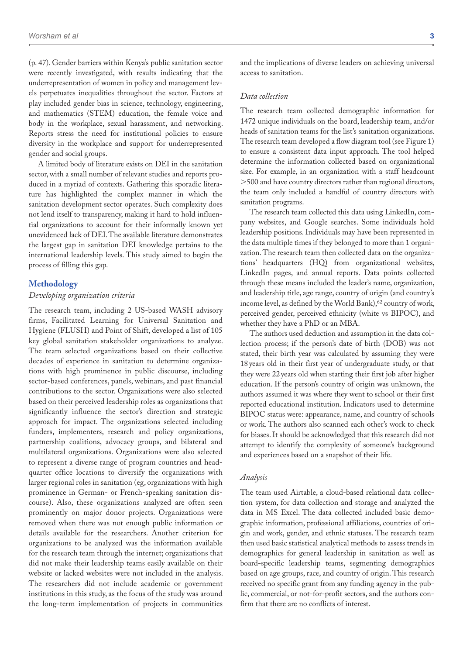(p. 47). Gender barriers within Kenya's public sanitation sector were recently investigated, with results indicating that the underrepresentation of women in policy and management levels perpetuates inequalities throughout the sector. Factors at play included gender bias in science, technology, engineering, and mathematics (STEM) education, the female voice and body in the workplace, sexual harassment, and networking. Reports stress the need for institutional policies to ensure diversity in the workplace and support for underrepresented gender and social groups.

A limited body of literature exists on DEI in the sanitation sector, with a small number of relevant studies and reports produced in a myriad of contexts. Gathering this sporadic literature has highlighted the complex manner in which the sanitation development sector operates. Such complexity does not lend itself to transparency, making it hard to hold influential organizations to account for their informally known yet unevidenced lack of DEI. The available literature demonstrates the largest gap in sanitation DEI knowledge pertains to the international leadership levels. This study aimed to begin the process of filling this gap.

## **Methodology**

# *Developing organization criteria*

The research team, including 2 US-based WASH advisory firms, Facilitated Learning for Universal Sanitation and Hygiene (FLUSH) and Point of Shift, developed a list of 105 key global sanitation stakeholder organizations to analyze. The team selected organizations based on their collective decades of experience in sanitation to determine organizations with high prominence in public discourse, including sector-based conferences, panels, webinars, and past financial contributions to the sector. Organizations were also selected based on their perceived leadership roles as organizations that significantly influence the sector's direction and strategic approach for impact. The organizations selected including funders, implementers, research and policy organizations, partnership coalitions, advocacy groups, and bilateral and multilateral organizations. Organizations were also selected to represent a diverse range of program countries and headquarter office locations to diversify the organizations with larger regional roles in sanitation (eg, organizations with high prominence in German- or French-speaking sanitation discourse). Also, these organizations analyzed are often seen prominently on major donor projects. Organizations were removed when there was not enough public information or details available for the researchers. Another criterion for organizations to be analyzed was the information available for the research team through the internet; organizations that did not make their leadership teams easily available on their website or lacked websites were not included in the analysis. The researchers did not include academic or government institutions in this study, as the focus of the study was around the long-term implementation of projects in communities

and the implications of diverse leaders on achieving universal access to sanitation.

#### *Data collection*

The research team collected demographic information for 1472 unique individuals on the board, leadership team, and/or heads of sanitation teams for the list's sanitation organizations. The research team developed a flow diagram tool (see Figure 1) to ensure a consistent data input approach. The tool helped determine the information collected based on organizational size. For example, in an organization with a staff headcount >500 and have country directors rather than regional directors, the team only included a handful of country directors with sanitation programs.

The research team collected this data using LinkedIn, company websites, and Google searches. Some individuals hold leadership positions. Individuals may have been represented in the data multiple times if they belonged to more than 1 organization. The research team then collected data on the organizations' headquarters (HQ) from organizational websites, LinkedIn pages, and annual reports. Data points collected through these means included the leader's name, organization, and leadership title, age range, country of origin (and country's income level, as defined by the World Bank), 62 country of work, perceived gender, perceived ethnicity (white vs BIPOC), and whether they have a PhD or an MBA.

The authors used deduction and assumption in the data collection process; if the person's date of birth (DOB) was not stated, their birth year was calculated by assuming they were 18 years old in their first year of undergraduate study, or that they were 22years old when starting their first job after higher education. If the person's country of origin was unknown, the authors assumed it was where they went to school or their first reported educational institution. Indicators used to determine BIPOC status were: appearance, name, and country of schools or work. The authors also scanned each other's work to check for biases. It should be acknowledged that this research did not attempt to identify the complexity of someone's background and experiences based on a snapshot of their life.

#### *Analysis*

The team used Airtable, a cloud-based relational data collection system, for data collection and storage and analyzed the data in MS Excel. The data collected included basic demographic information, professional affiliations, countries of origin and work, gender, and ethnic statuses. The research team then used basic statistical analytical methods to assess trends in demographics for general leadership in sanitation as well as board-specific leadership teams, segmenting demographics based on age groups, race, and country of origin. This research received no specific grant from any funding agency in the public, commercial, or not-for-profit sectors, and the authors confirm that there are no conflicts of interest.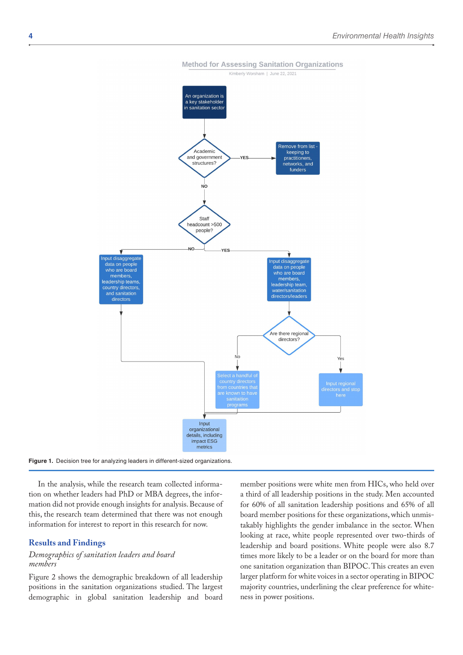



In the analysis, while the research team collected information on whether leaders had PhD or MBA degrees, the information did not provide enough insights for analysis. Because of this, the research team determined that there was not enough information for interest to report in this research for now.

#### **Results and Findings**

# *Demographics of sanitation leaders and board members*

Figure 2 shows the demographic breakdown of all leadership positions in the sanitation organizations studied. The largest demographic in global sanitation leadership and board

member positions were white men from HICs, who held over a third of all leadership positions in the study. Men accounted for 60% of all sanitation leadership positions and 65% of all board member positions for these organizations, which unmistakably highlights the gender imbalance in the sector. When looking at race, white people represented over two-thirds of leadership and board positions. White people were also 8.7 times more likely to be a leader or on the board for more than one sanitation organization than BIPOC. This creates an even larger platform for white voices in a sector operating in BIPOC majority countries, underlining the clear preference for whiteness in power positions.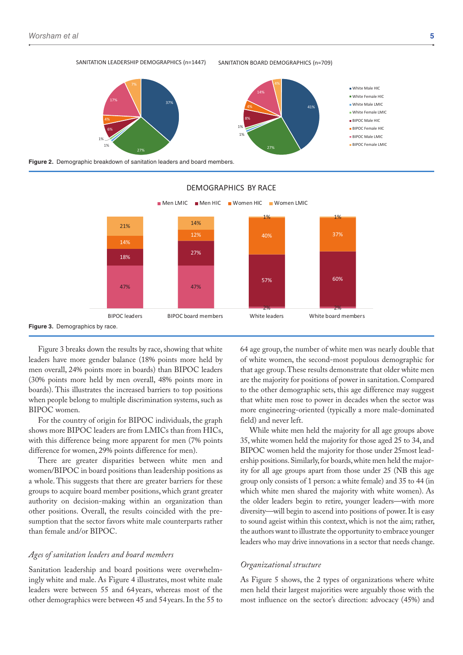#### SANITATION LEADERSHIP DEMOGRAPHICS (n=1447) SANITATION BOARD DEMOGRAPHICS (n=709)





**Figure 2.** Demographic breakdown of sanitation leaders and board members.



#### DEMOGRAPHICS BY RACE

Figure 3 breaks down the results by race, showing that white leaders have more gender balance (18% points more held by men overall, 24% points more in boards) than BIPOC leaders (30% points more held by men overall, 48% points more in boards). This illustrates the increased barriers to top positions when people belong to multiple discrimination systems, such as BIPOC women.

For the country of origin for BIPOC individuals, the graph shows more BIPOC leaders are from LMICs than from HICs, with this difference being more apparent for men (7% points difference for women, 29% points difference for men).

There are greater disparities between white men and women/BIPOC in board positions than leadership positions as a whole. This suggests that there are greater barriers for these groups to acquire board member positions, which grant greater authority on decision-making within an organization than other positions. Overall, the results coincided with the presumption that the sector favors white male counterparts rather than female and/or BIPOC.

#### *Ages of sanitation leaders and board members*

Sanitation leadership and board positions were overwhelmingly white and male. As Figure 4 illustrates, most white male leaders were between 55 and 64 years, whereas most of the other demographics were between 45 and 54 years. In the 55 to

64 age group, the number of white men was nearly double that of white women, the second-most populous demographic for that age group. These results demonstrate that older white men are the majority for positions of power in sanitation. Compared to the other demographic sets, this age difference may suggest that white men rose to power in decades when the sector was more engineering-oriented (typically a more male-dominated field) and never left.

While white men held the majority for all age groups above 35, white women held the majority for those aged 25 to 34, and BIPOC women held the majority for those under 25most leadership positions. Similarly, for boards, white men held the majority for all age groups apart from those under 25 (NB this age group only consists of 1 person: a white female) and 35 to 44 (in which white men shared the majority with white women). As the older leaders begin to retire, younger leaders—with more diversity—will begin to ascend into positions of power. It is easy to sound ageist within this context, which is not the aim; rather, the authors want to illustrate the opportunity to embrace younger leaders who may drive innovations in a sector that needs change.

## *Organizational structure*

As Figure 5 shows, the 2 types of organizations where white men held their largest majorities were arguably those with the most influence on the sector's direction: advocacy (45%) and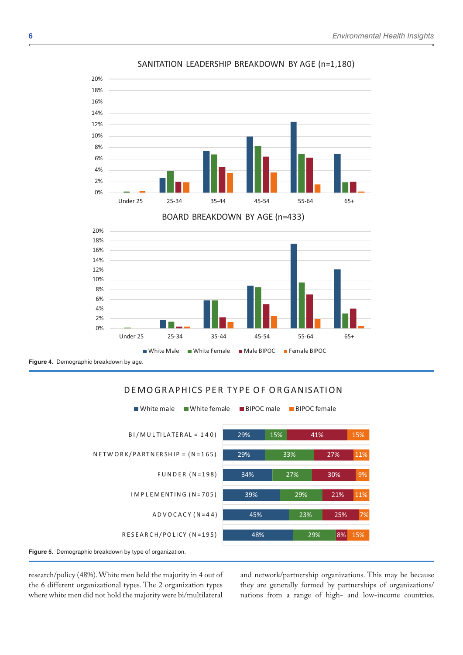

# SANITATION LEADERSHIP BREAKDOWN BY AGE (n=1,180)





**Figure 4.** Demographic breakdown by age.



# DEMOGRAPHICS PER TYPE OF ORGANISATION

research/policy (48%). White men held the majority in 4 out of the 6 different organizational types. The 2 organization types where white men did not hold the majority were bi/multilateral

and network/partnership organizations. This may be because they are generally formed by partnerships of organizations/ nations from a range of high- and low-income countries.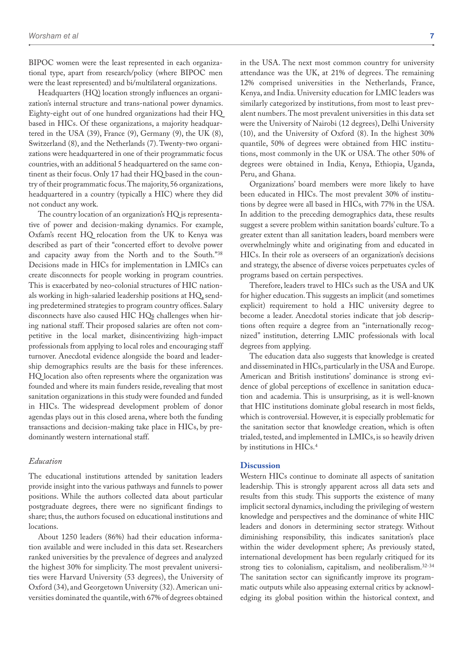BIPOC women were the least represented in each organizational type, apart from research/policy (where BIPOC men were the least represented) and bi/multilateral organizations.

Headquarters (HQ) location strongly influences an organization's internal structure and trans-national power dynamics. Eighty-eight out of one hundred organizations had their HQ based in HICs. Of these organizations, a majority headquartered in the USA (39), France (9), Germany (9), the UK (8), Switzerland (8), and the Netherlands (7). Twenty-two organizations were headquartered in one of their programmatic focus countries, with an additional 5 headquartered on the same continent as their focus. Only 17 had their HQ based in the country of their programmatic focus. The majority, 56 organizations, headquartered in a country (typically a HIC) where they did not conduct any work.

The country location of an organization's HQ is representative of power and decision-making dynamics. For example, Oxfam's recent HQ relocation from the UK to Kenya was described as part of their "concerted effort to devolve power and capacity away from the North and to the South."38 Decisions made in HICs for implementation in LMICs can create disconnects for people working in program countries. This is exacerbated by neo-colonial structures of HIC nationals working in high-salaried leadership positions at HQ, sending predetermined strategies to program country offices. Salary disconnects have also caused HIC HQs challenges when hiring national staff. Their proposed salaries are often not competitive in the local market, disincentivizing high-impact professionals from applying to local roles and encouraging staff turnover. Anecdotal evidence alongside the board and leadership demographics results are the basis for these inferences. HQ location also often represents where the organization was founded and where its main funders reside, revealing that most sanitation organizations in this study were founded and funded in HICs. The widespread development problem of donor agendas plays out in this closed arena, where both the funding transactions and decision-making take place in HICs, by predominantly western international staff.

#### *Education*

The educational institutions attended by sanitation leaders provide insight into the various pathways and funnels to power positions. While the authors collected data about particular postgraduate degrees, there were no significant findings to share; thus, the authors focused on educational institutions and locations.

About 1250 leaders (86%) had their education information available and were included in this data set. Researchers ranked universities by the prevalence of degrees and analyzed the highest 30% for simplicity. The most prevalent universities were Harvard University (53 degrees), the University of Oxford (34), and Georgetown University (32). American universities dominated the quantile, with 67% of degrees obtained

in the USA. The next most common country for university attendance was the UK, at 21% of degrees. The remaining 12% comprised universities in the Netherlands, France, Kenya, and India. University education for LMIC leaders was similarly categorized by institutions, from most to least prevalent numbers. The most prevalent universities in this data set were the University of Nairobi (12 degrees), Delhi University (10), and the University of Oxford (8). In the highest 30% quantile, 50% of degrees were obtained from HIC institutions, most commonly in the UK or USA. The other 50% of degrees were obtained in India, Kenya, Ethiopia, Uganda, Peru, and Ghana.

Organizations' board members were more likely to have been educated in HICs. The most prevalent 30% of institutions by degree were all based in HICs, with 77% in the USA. In addition to the preceding demographics data, these results suggest a severe problem within sanitation boards' culture. To a greater extent than all sanitation leaders, board members were overwhelmingly white and originating from and educated in HICs. In their role as overseers of an organization's decisions and strategy, the absence of diverse voices perpetuates cycles of programs based on certain perspectives.

Therefore, leaders travel to HICs such as the USA and UK for higher education. This suggests an implicit (and sometimes explicit) requirement to hold a HIC university degree to become a leader. Anecdotal stories indicate that job descriptions often require a degree from an "internationally recognized" institution, deterring LMIC professionals with local degrees from applying.

The education data also suggests that knowledge is created and disseminated in HICs, particularly in the USA and Europe. American and British institutions' dominance is strong evidence of global perceptions of excellence in sanitation education and academia. This is unsurprising, as it is well-known that HIC institutions dominate global research in most fields, which is controversial. However, it is especially problematic for the sanitation sector that knowledge creation, which is often trialed, tested, and implemented in LMICs, is so heavily driven by institutions in HICs.4

# **Discussion**

Western HICs continue to dominate all aspects of sanitation leadership. This is strongly apparent across all data sets and results from this study. This supports the existence of many implicit sectoral dynamics, including the privileging of western knowledge and perspectives and the dominance of white HIC leaders and donors in determining sector strategy. Without diminishing responsibility, this indicates sanitation's place within the wider development sphere; As previously stated, international development has been regularly critiqued for its strong ties to colonialism, capitalism, and neoliberalism.32-34 The sanitation sector can significantly improve its programmatic outputs while also appeasing external critics by acknowledging its global position within the historical context, and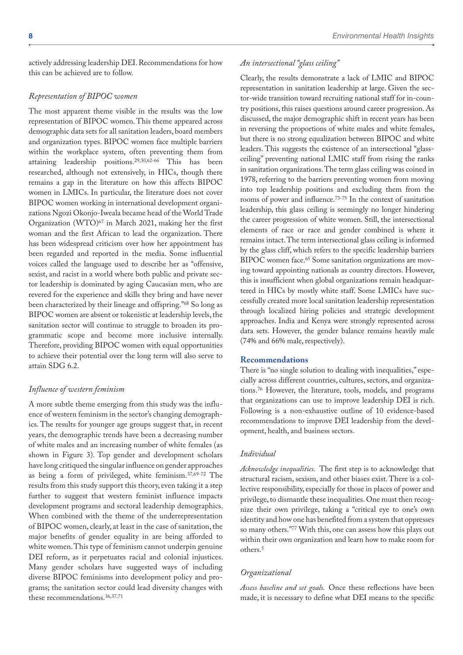actively addressing leadership DEI. Recommendations for how this can be achieved are to follow.

### *Representation of BIPOC women*

The most apparent theme visible in the results was the low representation of BIPOC women. This theme appeared across demographic data sets for all sanitation leaders, board members and organization types. BIPOC women face multiple barriers within the workplace system, often preventing them from attaining leadership positions.29,30,62-66 This has been researched, although not extensively, in HICs, though there remains a gap in the literature on how this affects BIPOC women in LMICs. In particular, the literature does not cover BIPOC women working in international development organizations Ngozi Okonjo-Iweala became head of the World Trade Organization (WTO)67 in March 2021, making her the first woman and the first African to lead the organization. There has been widespread criticism over how her appointment has been regarded and reported in the media. Some influential voices called the language used to describe her as "offensive, sexist, and racist in a world where both public and private sector leadership is dominated by aging Caucasian men, who are revered for the experience and skills they bring and have never been characterized by their lineage and offspring."68 So long as BIPOC women are absent or tokenistic at leadership levels, the sanitation sector will continue to struggle to broaden its programmatic scope and become more inclusive internally. Therefore, providing BIPOC women with equal opportunities to achieve their potential over the long term will also serve to attain SDG 6.2.

# *Influence of western feminism*

A more subtle theme emerging from this study was the influence of western feminism in the sector's changing demographics. The results for younger age groups suggest that, in recent years, the demographic trends have been a decreasing number of white males and an increasing number of white females (as shown in Figure 3). Top gender and development scholars have long critiqued the singular influence on gender approaches as being a form of privileged, white feminism.37,69-72 The results from this study support this theory, even taking it a step further to suggest that western feminist influence impacts development programs and sectoral leadership demographics. When combined with the theme of the underrepresentation of BIPOC women, clearly, at least in the case of sanitation, the major benefits of gender equality in are being afforded to white women. This type of feminism cannot underpin genuine DEI reform, as it perpetuates racial and colonial injustices. Many gender scholars have suggested ways of including diverse BIPOC feminisms into development policy and programs; the sanitation sector could lead diversity changes with these recommendations.36,37,71

# *An intersectional "glass ceiling"*

Clearly, the results demonstrate a lack of LMIC and BIPOC representation in sanitation leadership at large. Given the sector-wide transition toward recruiting national staff for in-country positions, this raises questions around career progression. As discussed, the major demographic shift in recent years has been in reversing the proportions of white males and white females, but there is no strong equalization between BIPOC and white leaders. This suggests the existence of an intersectional "glassceiling" preventing national LMIC staff from rising the ranks in sanitation organizations. The term glass ceiling was coined in 1978, referring to the barriers preventing women from moving into top leadership positions and excluding them from the rooms of power and influence.73-75 In the context of sanitation leadership, this glass ceiling is seemingly no longer hindering the career progression of white women. Still, the intersectional elements of race or race and gender combined is where it remains intact. The term intersectional glass ceiling is informed by the glass cliff, which refers to the specific leadership barriers BIPOC women face.<sup>65</sup> Some sanitation organizations are moving toward appointing nationals as country directors. However, this is insufficient when global organizations remain headquartered in HICs by mostly white staff. Some LMICs have successfully created more local sanitation leadership representation through localized hiring policies and strategic development approaches. India and Kenya were strongly represented across data sets. However, the gender balance remains heavily male (74% and 66% male, respectively).

#### **Recommendations**

There is "no single solution to dealing with inequalities," especially across different countries, cultures, sectors, and organizations.76 However, the literature, tools, models, and programs that organizations can use to improve leadership DEI is rich. Following is a non-exhaustive outline of 10 evidence-based recommendations to improve DEI leadership from the development, health, and business sectors.

## *Individual*

*Acknowledge inequalities.* The first step is to acknowledge that structural racism, sexism, and other biases exist. There is a collective responsibility, especially for those in places of power and privilege, to dismantle these inequalities. One must then recognize their own privilege, taking a "critical eye to one's own identity and how one has benefited from a system that oppresses so many others."77 With this, one can assess how this plays out within their own organization and learn how to make room for others.5

#### *Organizational*

*Assess baseline and set goals.* Once these reflections have been made, it is necessary to define what DEI means to the specific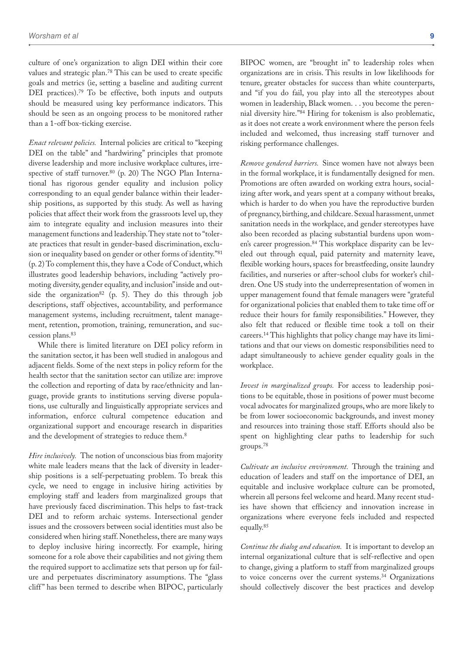culture of one's organization to align DEI within their core values and strategic plan.78 This can be used to create specific goals and metrics (ie, setting a baseline and auditing current DEI practices).<sup>79</sup> To be effective, both inputs and outputs should be measured using key performance indicators. This should be seen as an ongoing process to be monitored rather than a 1-off box-ticking exercise.

*Enact relevant policies.* Internal policies are critical to "keeping DEI on the table" and "hardwiring" principles that promote diverse leadership and more inclusive workplace cultures, irrespective of staff turnover.<sup>80</sup> (p. 20) The NGO Plan International has rigorous gender equality and inclusion policy corresponding to an equal gender balance within their leadership positions, as supported by this study. As well as having policies that affect their work from the grassroots level up, they aim to integrate equality and inclusion measures into their management functions and leadership. They state not to "tolerate practices that result in gender-based discrimination, exclusion or inequality based on gender or other forms of identity."81 (p. 2) To complement this, they have a Code of Conduct, which illustrates good leadership behaviors, including "actively promoting diversity, gender equality, and inclusion" inside and outside the organization<sup>82</sup> (p. 5). They do this through job descriptions, staff objectives, accountability, and performance management systems, including recruitment, talent management, retention, promotion, training, remuneration, and succession plans.83

While there is limited literature on DEI policy reform in the sanitation sector, it has been well studied in analogous and adjacent fields. Some of the next steps in policy reform for the health sector that the sanitation sector can utilize are: improve the collection and reporting of data by race/ethnicity and language, provide grants to institutions serving diverse populations, use culturally and linguistically appropriate services and information, enforce cultural competence education and organizational support and encourage research in disparities and the development of strategies to reduce them.8

*Hire inclusively.* The notion of unconscious bias from majority white male leaders means that the lack of diversity in leadership positions is a self-perpetuating problem. To break this cycle, we need to engage in inclusive hiring activities by employing staff and leaders from marginalized groups that have previously faced discrimination. This helps to fast-track DEI and to reform archaic systems. Intersectional gender issues and the crossovers between social identities must also be considered when hiring staff. Nonetheless, there are many ways to deploy inclusive hiring incorrectly. For example, hiring someone for a role above their capabilities and not giving them the required support to acclimatize sets that person up for failure and perpetuates discriminatory assumptions. The "glass cliff" has been termed to describe when BIPOC, particularly

BIPOC women, are "brought in" to leadership roles when organizations are in crisis. This results in low likelihoods for tenure, greater obstacles for success than white counterparts, and "if you do fail, you play into all the stereotypes about women in leadership, Black women. . . you become the perennial diversity hire."84 Hiring for tokenism is also problematic, as it does not create a work environment where the person feels included and welcomed, thus increasing staff turnover and risking performance challenges.

*Remove gendered barriers.* Since women have not always been in the formal workplace, it is fundamentally designed for men. Promotions are often awarded on working extra hours, socializing after work, and years spent at a company without breaks, which is harder to do when you have the reproductive burden of pregnancy, birthing, and childcare. Sexual harassment, unmet sanitation needs in the workplace, and gender stereotypes have also been recorded as placing substantial burdens upon women's career progression.<sup>84</sup> This workplace disparity can be leveled out through equal, paid paternity and maternity leave, flexible working hours, spaces for breastfeeding, onsite laundry facilities, and nurseries or after-school clubs for worker's children. One US study into the underrepresentation of women in upper management found that female managers were "grateful for organizational policies that enabled them to take time off or reduce their hours for family responsibilities." However, they also felt that reduced or flexible time took a toll on their careers.14 This highlights that policy change may have its limitations and that our views on domestic responsibilities need to adapt simultaneously to achieve gender equality goals in the workplace.

*Invest in marginalized groups.* For access to leadership positions to be equitable, those in positions of power must become vocal advocates for marginalized groups, who are more likely to be from lower socioeconomic backgrounds, and invest money and resources into training those staff. Efforts should also be spent on highlighting clear paths to leadership for such groups.78

*Cultivate an inclusive environment.* Through the training and education of leaders and staff on the importance of DEI, an equitable and inclusive workplace culture can be promoted, wherein all persons feel welcome and heard. Many recent studies have shown that efficiency and innovation increase in organizations where everyone feels included and respected equally.85

*Continue the dialog and education.* It is important to develop an internal organizational culture that is self-reflective and open to change, giving a platform to staff from marginalized groups to voice concerns over the current systems.<sup>34</sup> Organizations should collectively discover the best practices and develop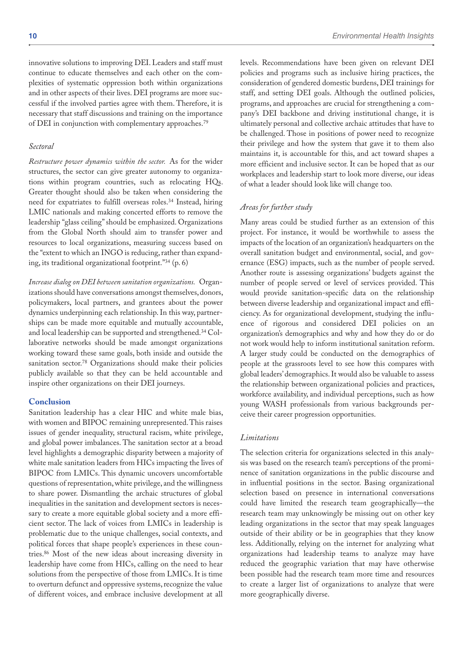innovative solutions to improving DEI. Leaders and staff must continue to educate themselves and each other on the complexities of systematic oppression both within organizations and in other aspects of their lives. DEI programs are more successful if the involved parties agree with them. Therefore, it is necessary that staff discussions and training on the importance of DEI in conjunction with complementary approaches.79

#### *Sectoral*

*Restructure power dynamics within the sector.* As for the wider structures, the sector can give greater autonomy to organizations within program countries, such as relocating HQs. Greater thought should also be taken when considering the need for expatriates to fulfill overseas roles.34 Instead, hiring LMIC nationals and making concerted efforts to remove the leadership "glass ceiling" should be emphasized. Organizations from the Global North should aim to transfer power and resources to local organizations, measuring success based on the "extent to which an INGO is reducing, rather than expanding, its traditional organizational footprint."34 (p. 6)

*Increase dialog on DEI between sanitation organizations.* Organizations should have conversations amongst themselves, donors, policymakers, local partners, and grantees about the power dynamics underpinning each relationship. In this way, partnerships can be made more equitable and mutually accountable, and local leadership can be supported and strengthened.34 Collaborative networks should be made amongst organizations working toward these same goals, both inside and outside the sanitation sector.<sup>78</sup> Organizations should make their policies publicly available so that they can be held accountable and inspire other organizations on their DEI journeys.

# **Conclusion**

Sanitation leadership has a clear HIC and white male bias, with women and BIPOC remaining unrepresented. This raises issues of gender inequality, structural racism, white privilege, and global power imbalances. The sanitation sector at a broad level highlights a demographic disparity between a majority of white male sanitation leaders from HICs impacting the lives of BIPOC from LMICs. This dynamic uncovers uncomfortable questions of representation, white privilege, and the willingness to share power. Dismantling the archaic structures of global inequalities in the sanitation and development sectors is necessary to create a more equitable global society and a more efficient sector. The lack of voices from LMICs in leadership is problematic due to the unique challenges, social contexts, and political forces that shape people's experiences in these countries.86 Most of the new ideas about increasing diversity in leadership have come from HICs, calling on the need to hear solutions from the perspective of those from LMICs. It is time to overturn defunct and oppressive systems, recognize the value of different voices, and embrace inclusive development at all

levels. Recommendations have been given on relevant DEI policies and programs such as inclusive hiring practices, the consideration of gendered domestic burdens, DEI trainings for staff, and setting DEI goals. Although the outlined policies, programs, and approaches are crucial for strengthening a company's DEI backbone and driving institutional change, it is ultimately personal and collective archaic attitudes that have to be challenged. Those in positions of power need to recognize their privilege and how the system that gave it to them also maintains it, is accountable for this, and act toward shapes a more efficient and inclusive sector. It can be hoped that as our workplaces and leadership start to look more diverse, our ideas of what a leader should look like will change too.

# *Areas for further study*

Many areas could be studied further as an extension of this project. For instance, it would be worthwhile to assess the impacts of the location of an organization's headquarters on the overall sanitation budget and environmental, social, and governance (ESG) impacts, such as the number of people served. Another route is assessing organizations' budgets against the number of people served or level of services provided. This would provide sanitation-specific data on the relationship between diverse leadership and organizational impact and efficiency. As for organizational development, studying the influence of rigorous and considered DEI policies on an organization's demographics and why and how they do or do not work would help to inform institutional sanitation reform. A larger study could be conducted on the demographics of people at the grassroots level to see how this compares with global leaders' demographics. It would also be valuable to assess the relationship between organizational policies and practices, workforce availability, and individual perceptions, such as how young WASH professionals from various backgrounds perceive their career progression opportunities.

# *Limitations*

The selection criteria for organizations selected in this analysis was based on the research team's perceptions of the prominence of sanitation organizations in the public discourse and in influential positions in the sector. Basing organizational selection based on presence in international conversations could have limited the research team geographically—the research team may unknowingly be missing out on other key leading organizations in the sector that may speak languages outside of their ability or be in geographies that they know less. Additionally, relying on the internet for analyzing what organizations had leadership teams to analyze may have reduced the geographic variation that may have otherwise been possible had the research team more time and resources to create a larger list of organizations to analyze that were more geographically diverse.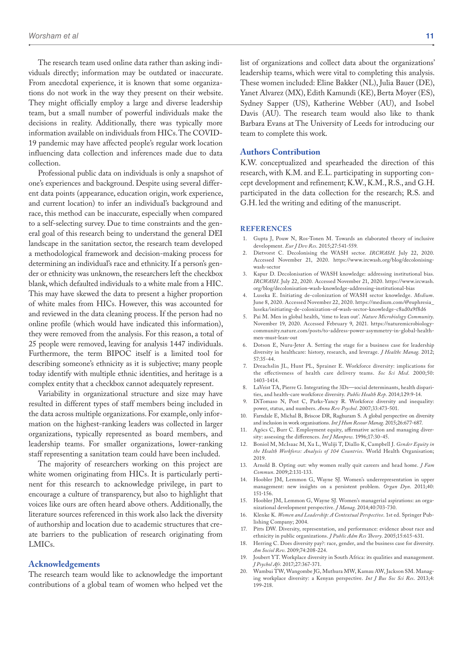The research team used online data rather than asking individuals directly; information may be outdated or inaccurate. From anecdotal experience, it is known that some organizations do not work in the way they present on their website. They might officially employ a large and diverse leadership team, but a small number of powerful individuals make the decisions in reality. Additionally, there was typically more information available on individuals from HICs. The COVID-19 pandemic may have affected people's regular work location influencing data collection and inferences made due to data collection.

Professional public data on individuals is only a snapshot of one's experiences and background. Despite using several different data points (appearance, education origin, work experience, and current location) to infer an individual's background and race, this method can be inaccurate, especially when compared to a self-selecting survey. Due to time constraints and the general goal of this research being to understand the general DEI landscape in the sanitation sector, the research team developed a methodological framework and decision-making process for determining an individual's race and ethnicity. If a person's gender or ethnicity was unknown, the researchers left the checkbox blank, which defaulted individuals to a white male from a HIC. This may have skewed the data to present a higher proportion of white males from HICs. However, this was accounted for and reviewed in the data cleaning process. If the person had no online profile (which would have indicated this information), they were removed from the analysis. For this reason, a total of 25 people were removed, leaving for analysis 1447 individuals. Furthermore, the term BIPOC itself is a limited tool for describing someone's ethnicity as it is subjective; many people today identify with multiple ethnic identities, and heritage is a complex entity that a checkbox cannot adequately represent.

Variability in organizational structure and size may have resulted in different types of staff members being included in the data across multiple organizations. For example, only information on the highest-ranking leaders was collected in larger organizations, typically represented as board members, and leadership teams. For smaller organizations, lower-ranking staff representing a sanitation team could have been included.

The majority of researchers working on this project are white women originating from HICs. It is particularly pertinent for this research to acknowledge privilege, in part to encourage a culture of transparency, but also to highlight that voices like ours are often heard above others. Additionally, the literature sources referenced in this work also lack the diversity of authorship and location due to academic structures that create barriers to the publication of research originating from LMICs.

#### **Acknowledgements**

The research team would like to acknowledge the important contributions of a global team of women who helped vet the list of organizations and collect data about the organizations' leadership teams, which were vital to completing this analysis. These women included: Eline Bakker (NL), Julia Bauer (DE), Yanet Alvarez (MX), Edith Kamundi (KE), Berta Moyer (ES), Sydney Sapper (US), Katherine Webber (AU), and Isobel Davis (AU). The research team would also like to thank Barbara Evans at The University of Leeds for introducing our team to complete this work.

#### **Authors Contribution**

K.W. conceptualized and spearheaded the direction of this research, with K.M. and E.L. participating in supporting concept development and refinement; K.W., K.M., R.S., and G.H. participated in the data collection for the research; R.S. and G.H. led the writing and editing of the manuscript.

#### **References**

- 1. Gupta J, Pouw N, Ros-Tonen M. Towards an elaborated theory of inclusive development. *Eur J Dev Res*. 2015;27:541-559.
- 2. Dietvorst C. Decolonising the WASH sector. *IRCWASH*. July 22, 2020. Accessed November 21, 2020. [https://www.ircwash.org/blog/decolonising](https://www.ircwash.org/blog/decolonising-wash-sector)[wash-sector](https://www.ircwash.org/blog/decolonising-wash-sector)
- 3. Kapur D. Decolonisation of WASH knowledge: addressing institutional bias. *IRCWASH*. July 22, 2020. Accessed November 21, 2020. [https://www.ircwash.](https://www.ircwash.org/blog/decolonisation-wash-knowledge-addressing-institutional-bias) [org/blog/decolonisation-wash-knowledge-addressing-institutional-bias](https://www.ircwash.org/blog/decolonisation-wash-knowledge-addressing-institutional-bias)
- 4. Luseka E. Initiating de-colonization of WASH sector knowledge. *Medium*. June 8, 2020. Accessed November 22, 2020. [https://medium.com/@euphresia\\_](https://medium.com/@euphresia_luseka/initiating-de-colonization-of-wash-sector-knowledge-c8ad0a9f8d6) [luseka/initiating-de-colonization-of-wash-sector-knowledge-c8ad0a9f8d6](https://medium.com/@euphresia_luseka/initiating-de-colonization-of-wash-sector-knowledge-c8ad0a9f8d6)
- 5. Pai M. Men in global health, 'time to lean out'. *Nature Microbiology Community*. November 19, 2020. Accessed February 9, 2021. [https://naturemicrobiology](https://naturemicrobiologycommunity.nature.com/posts/to-address-power-asymmetry-in-global-health-men-must-lean-out)[community.nature.com/posts/to-address-power-asymmetry-in-global-health](https://naturemicrobiologycommunity.nature.com/posts/to-address-power-asymmetry-in-global-health-men-must-lean-out)[men-must-lean-out](https://naturemicrobiologycommunity.nature.com/posts/to-address-power-asymmetry-in-global-health-men-must-lean-out)
- 6. Dotson E, Nuru-Jeter A. Setting the stage for a business case for leadership diversity in healthcare: history, research, and leverage. *J Healthc Manag*. 2012; 57:35-44.
- 7. Dreachslin JL, Hunt PL, Sprainer E. Workforce diversity: implications for the effectiveness of health care delivery teams. *Soc Sci Med*. 2000;50: 1403-1414.
- 8. LaVeist TA, Pierre G. Integrating the 3Ds—social determinants, health disparities, and health-care workforce diversity. *Public Health Rep*. 2014;129:9-14.
- 9. DiTomaso N, Post C, Parks-Yancy R. Workforce diversity and inequality: power, status, and numbers. *Annu Rev Psychol*. 2007;33:473-501.
- 10. Farndale E, Michal B, Briscoe DR, Raghuram S. A global perspective on diversity and inclusion in work organisations. *Int J Hum Resour Manag*. 2015;26:677-687.
- Agócs C, Burr C. Employment equity, affirmative action and managing diversity: assessing the differences. *Int J Manpow*. 1996;17:30-45.
- 12. Boniol M, McIsaac M, Xu L, Wuliji T, Diallo K, Campbell J. *Gender Equity in the Health Workforce: Analysis of 104 Countries*. World Health Organisation; 2019.
- 13. Arnold B. Opting out: why women really quit careers and head home. *J Fam Commun*. 2009;2:131-133.
- 14. Hoobler JM, Lemmon G, Wayne SJ. Women's underrepresentation in upper management: new insights on a persistent problem. *Organ Dyn*. 2011;40: 151-156.
- 15. Hoobler JM, Lemmon G, Wayne SJ. Women's managerial aspirations: an organizational development perspective. *J Manag*. 2014;40:703-730.
- 16. Klenke K. *Women and Leadership: A Contextual Perspective*. 1st ed. Springer Publishing Company; 2004.
- 17. Pitts DW. Diversity, representation, and performance: evidence about race and ethnicity in public organizations. *J Public Adm Res Theory*. 2005;15:615-631.
- 18. Herring C. Does diversity pay?: race, gender, and the business case for diversity. *Am Sociol Rev*. 2009;74:208-224.
- 19. Joubert YT. Workplace diversity in South Africa: its qualities and management. *J Psychol Afr*. 2017;27:367-371.
- 20. Wambui TW, Wangombe JG, Muthura MW, Kamau AW, Jackson SM. Managing workplace diversity: a Kenyan perspective. *Int J Bus Soc Sci Res*. 2013;4: 199-218.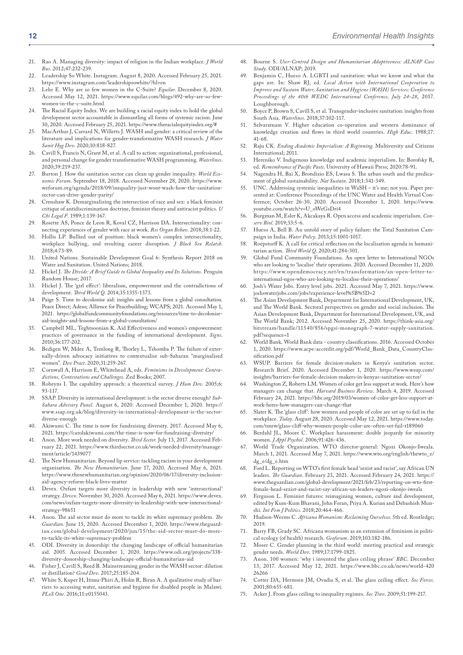- 21. Rao A. Managing diversity: impact of religion in the Indian workplace. *J World Bus*. 2012;47:232-239.
- 22. Leadership So White. Instagram. August 8, 2020. Accessed February 25, 2021. <https://www.instagram.com/leadershipsowhite/?hl=en>
- 23. Lehr E. Why are so few women in the C-Suite? *Equilar*. December 8, 2020. Accessed May 12, 2021. [https://www.equilar.com/blogs/492-why-are-so-few](https://www.equilar.com/blogs/492-why-are-so-few-women-in-the-c-suite.html)[women-in-the-c-suite.html](https://www.equilar.com/blogs/492-why-are-so-few-women-in-the-c-suite.html)
- The Racial Equity Index. We are building a racial equity index to hold the global development sector accountable in dismantling all forms of systemic racism. June 30, 2020. Accessed February 25, 2021.<https://www.theracialequityindex.org/#>
- 25. MacArthur J, Carrard N, Willetts J. WASH and gender: a critical review of the literature and implications for gender-transformative WASH research. *J Water Sanit Hyg Dev*. 2020;10:818-827.
- 26. Cavill S, Francis N, Grant M, et al. A call to action: organizational, professional, and personal change for gender transformative WASH programming. *Waterlines*. 2020;39:219-237.
- 27. Burton J. How the sanitation sector can clean up gender inequality. *World Economic Forum*. September 18, 2018. Accessed November 28, 2020. [https://www.](https://www.weforum.org/agenda/2018/09/inequality-just-wont-wash-how-the-sanitation-sector-can-drive-gender-parity/) [weforum.org/agenda/2018/09/inequality-just-wont-wash-how-the-sanitation](https://www.weforum.org/agenda/2018/09/inequality-just-wont-wash-how-the-sanitation-sector-can-drive-gender-parity/)[sector-can-drive-gender-parity/](https://www.weforum.org/agenda/2018/09/inequality-just-wont-wash-how-the-sanitation-sector-can-drive-gender-parity/)
- 28. Crenshaw K. Demarginalizing the intersection of race and sex: a black feminist critique of antidiscrimination doctrine, feminist theory and antiracist politics. *U Chi Legal F*. 1989;1:139-167.
- 29. Rosette AS, Ponce de Leon R, Koval CZ, Harrison DA. Intersectionality: connecting experiences of gender with race at work. *Res Organ Behav*. 2018;38:1-22.
- 30. Hollis LP. Bullied out of position: black women's complex intersectionality, workplace bullying, and resulting career disruption. *J Black Sex Relatsh*. 2018;4:73-89.
- 31. United Nations. Sustainable Development Goal 6: Synthesis Report 2018 on Water and Sanitation. United Nations; 2018.
- 32. Hickel J. *The Divide: A Brief Guide to Global Inequality and Its Solutions*. Penguin Random House; 2017.
- 33. Hickel J. The 'girl effect': liberalism, empowerment and the contradictions of development. *Third World Q*. 2014;35:1355-1373.
- 34. Paige S. Time to decolonise aid: insights and lessons from a global consultation. Peace Direct; Adeso; Allience for Peacebuilding; WCAPS; 2021. Accessed May 1, 2021. [https://globalfundcommunityfoundations.org/resources/time-to-decolonise](https://globalfundcommunityfoundations.org/resources/time-to-decolonise-aid-insights-and-lessons-from-a-global-consultation/)[aid-insights-and-lessons-from-a-global-consultation/](https://globalfundcommunityfoundations.org/resources/time-to-decolonise-aid-insights-and-lessons-from-a-global-consultation/)
- 35. Campbell ML, Teghtsoonian K. Aid Effectiveness and women's empowerment: practices of governance in the funding of international development. *Signs*. 2010;36:177-202.
- 36. Bedigen W, Mdee A, Temlong R, Thorley L, Tshomba P. The failure of externally-driven advocacy initiatives to contextualise sub-Saharan "marginalised women". *Dev Pract*. 2020;31:259-267.
- 37. Cornwall A, Harrison E, Whitehead A, eds. *Feminisms in Development: Contradictions, Contestations and Challenges*. Zed Books; 2007.
- 38. Robeyns I. The capability approach: a theoretical survey. *J Hum Dev*. 2005;6: 93-117.
- 39. SSAP. Diversity in international development: is the sector diverse enough? *Sub-Sahara Advisory Panel*. August 6, 2020. Accessed December 1, 2020. [https://](https://www.ssap.org.uk/blog/diversity-in-international-development-is-the-sector-diverse-enough) [www.ssap.org.uk/blog/diversity-in-international-development-is-the-sector](https://www.ssap.org.uk/blog/diversity-in-international-development-is-the-sector-diverse-enough)[diverse-enough](https://www.ssap.org.uk/blog/diversity-in-international-development-is-the-sector-diverse-enough)
- Akiwumi C. The time is now for fundraising diversity. 2017. Accessed May 6, 2021. <https://carolakiwumi.com/the-time-is-now-for-fundraising-diversity/>
- 41. Anon. More work needed on diversity. *Third Sector*. July 13, 2017. Accessed February 22, 2021. [https://www.thirdsector.co.uk/work-needed-diversity/manage](https://www.thirdsector.co.uk/work-needed-diversity/management/article/1439077)[ment/article/1439077](https://www.thirdsector.co.uk/work-needed-diversity/management/article/1439077)
- 42. The New Humanitarian. Beyond lip service: tackling racism in your development organisation. *The New Humanitarian*. June 17, 2020. Accessed May 6, 2021. [https://www.thenewhumanitarian.org/opinion/2020/06/17/diversity-inclusion](https://www.thenewhumanitarian.org/opinion/2020/06/17/diversity-inclusion-aid-agency-reform-black-lives-matter)[aid-agency-reform-black-lives-matter](https://www.thenewhumanitarian.org/opinion/2020/06/17/diversity-inclusion-aid-agency-reform-black-lives-matter)
- 43. Devex. Oxfam targets more diversity in leadership with new 'intersectional' strategy. *Devex*. November 30, 2020. Accessed May 6, 2021. [https://www.devex.](https://www.devex.com/news/oxfam-targets-more-diversity-in-leadership-with-new-intersectional-strategy-98651) [com/news/oxfam-targets-more-diversity-in-leadership-with-new-intersectional](https://www.devex.com/news/oxfam-targets-more-diversity-in-leadership-with-new-intersectional-strategy-98651)[strategy-98651](https://www.devex.com/news/oxfam-targets-more-diversity-in-leadership-with-new-intersectional-strategy-98651)
- 44. Anon. The aid sector must do more to tackle its white supremacy problem. *The Guardian*. June 15, 2020. Accessed December 1, 2020. [https://www.theguard](https://www.theguardian.com/global-development/2020/jun/15/the-aid-sector-must-do-more-to-tackle-its-white-supremacy-problem)[ian.com/global-development/2020/jun/15/the-aid-sector-must-do-more](https://www.theguardian.com/global-development/2020/jun/15/the-aid-sector-must-do-more-to-tackle-its-white-supremacy-problem)[to-tackle-its-white-supremacy-problem](https://www.theguardian.com/global-development/2020/jun/15/the-aid-sector-must-do-more-to-tackle-its-white-supremacy-problem)
- 45. ODI. Diversity in donorship: the changing landscape of official humanitarian aid. 2005. Accessed December 1, 2020. [https://www.odi.org/projects/338](https://www.odi.org/projects/338-diversity-donorship-changing-landscape-official-humanitarian-aid) [diversity-donorship-changing-landscape-official-humanitarian-aid](https://www.odi.org/projects/338-diversity-donorship-changing-landscape-official-humanitarian-aid)
- 46. Fisher J, Cavill S, Reed B. Mainstreaming gender in the WASH sector: dilution or distillation? *Gend Dev*. 2017;25:185-204.
- White S, Kuper H, Itimu-Phiri A, Holm R, Biran A. A qualitative study of barriers to accessing water, sanitation and hygiene for disabled people in Malawi. *PLoS One*. 2016;11:e0155043.
- 48. Bourne S. *User-Centred Design and Humanitarian Adaptiveness: ALNAP Case Study*. ODI/ALNAP; 2019.
- 49. Benjamin C, Hueso A. LGBTI and sanitation: what we know and what the gaps are. In: Shaw RJ, ed. *Local Action with International Cooperation to Improve and Sustain Water, Sanitation and Hygiene (WASH) Services: Conference Proceedings of the 40th WEDC International Conference, July 24-28*, 2017. Loughborough.
- 50. Boyce P, Brown S, Cavill S, et al. Transgender-inclusive sanitation: insights from South Asia. *Waterlines*. 2018;37:102-117.
- 51. Selvaratnam V. Higher education co-operation and western dominance of knowledge creation and flows in third world countries. *High Educ*. 1988;17: 41-68.
- 52. Raju CK. *Ending Academic Imperialism: A Beginning*. Multiversity and Citizens International; 2011.
- 53. Hereniko V. Indigenous knowledge and academic imperialism. In: Borofsky R, ed. *Remembrance of Pacific Pasts*. University of Hawaii Press; 2020:78-91.
- 54. Nagendra H, Bai X, Brondizio ES, Lwasa S. The urban south and the predicament of global sustainability. *Nat Sustain*. 2018;1:341-349.
- UNC. Addressing systemic inequalities in WaSH it's me; not you. Paper presented at: Conference Proceedings of the UNC Water and Health Virtual Conference; October 26-30, 2020. Accessed December 1, 2020. [https://www.](https://www.youtube.com/watch?v=U_oWeGsDri4) [youtube.com/watch?v=U\\_oWeGsDri4](https://www.youtube.com/watch?v=U_oWeGsDri4)
- 56. Burgman M, Esler K, Akcakaya R. Open access and academic imperialism. *Conserv Biol*. 2019;33:5-6.
- 57. Hueso A, Bell B. An untold story of policy failure: the Total Sanitation Campaign in India. *Water Policy*. 2013;15:1001-1017.
- 58. Roepstorff K. A call for critical reflection on the localisation agenda in humanitarian action. *Third World Q*. 2020;41:284-301.
- 59. Global Fund Community Foundations. An open letter to International NGOs who are looking to 'localise' their operations. 2020. Accessed December 11, 2020. [https://www.opendemocracy.net/en/transformation/an-open-letter-to](https://www.opendemocracy.net/en/transformation/an-open-letter-to-international-ngos-who-are-looking-to-localise-their-operations/)[international-ngos-who-are-looking-to-localise-their-operations/](https://www.opendemocracy.net/en/transformation/an-open-letter-to-international-ngos-who-are-looking-to-localise-their-operations/)
- Josh's Water Jobs. Entry level jobs. 2021. Accessed May 7, 2021. [https://www.](https://www.joshswaterjobs.com/jobs?experience-level%5B%5D=2) [joshswaterjobs.com/jobs?experience-level%5B%5D=2](https://www.joshswaterjobs.com/jobs?experience-level%5B%5D=2)
- 61. The Asian Development Bank, Department for International Development, UK, and The World Bank. Sectoral perspectives on gender and social inclusion. The Asian Development Bank, Department for International Development, UK, and The World Bank; 2012. Accessed November 25, 2020. [https://think-asia.org/](https://think-asia.org/bitstream/handle/11540/856/spgsi-monograph-7-water-supply-sanitation.pdf?sequence=1) [bitstream/handle/11540/856/spgsi-monograph-7-water-supply-sanitation.](https://think-asia.org/bitstream/handle/11540/856/spgsi-monograph-7-water-supply-sanitation.pdf?sequence=1) [pdf?sequence=1](https://think-asia.org/bitstream/handle/11540/856/spgsi-monograph-7-water-supply-sanitation.pdf?sequence=1)
- 62. World Bank. World Bank data country classifications. 2016. Accessed October 1, 2020. [https://www.acpe-accredit.org/pdf/World\\_Bank\\_Data\\_CountryClas](https://www.acpe-accredit.org/pdf/World_Bank_Data_CountryClassification.pdf)[sification.pdf](https://www.acpe-accredit.org/pdf/World_Bank_Data_CountryClassification.pdf)
- 63. WSUP. Barriers for female decision-makers in Kenya's sanitation sector. Research Brief. 2020. Accessed December 1, 2020. [https://www.wsup.com/](https://www.wsup.com/insights/barriers-for-female-decision-makers-in-kenyas-sanitation-sector/) [insights/barriers-for-female-decision-makers-in-kenyas-sanitation-sector/](https://www.wsup.com/insights/barriers-for-female-decision-makers-in-kenyas-sanitation-sector/)
- 64. Washington Z, Roberts LM. Women of color get less support at work. Here's how managers can change that. *Harvard Business Review*. March 4, 2019. Accessed February 24, 2021. [https://hbr.org/2019/03/women-of-color-get-less-support-at](https://hbr.org/2019/03/women-of-color-get-less-support-at-work-heres-how-managers-can-change-that)[work-heres-how-managers-can-change-that](https://hbr.org/2019/03/women-of-color-get-less-support-at-work-heres-how-managers-can-change-that)
- 65. Slater K. The 'glass cliff': how women and people of color are set up to fail in the workplace. *Today*. August 28, 2020. Accessed May 12, 2021. [https://www.today.](https://www.today.com/tmrw/glass-cliff-why-women-people-color-are-often-set-fail-t189060)  ${\tt com/tmrw/glass\text{-}cliff\text{-}why\text{-}women\text{-}people\text{-}color\text{-}-are\text{-}often\text{-}set\text{-}fail\text{-}t189060}$
- 66. Berdahl JL, Moore C. Workplace harassment: double jeopardy for minority women. *J Appl Psychol*. 2006;91:426-436.
- 67. World Trade Organization. WTO director-general: Ngozi Okonjo-Iweala. March 1, 2021. Accessed May 7, 2021. [https://www.wto.org/english/thewto\\_e/](https://www.wto.org/english/thewto_e/dg_e/dg_e.htm) [dg\\_e/dg\\_e.htm](https://www.wto.org/english/thewto_e/dg_e/dg_e.htm)
- 68. Ford L. Reporting on WTO's first female head 'sexist and racist', say African UN leaders. *The Guardian*. February 23, 2021. Accessed February 24, 2021. [https://](https://www.theguardian.com/global-development/2021/feb/23/reporting-on-wto-first-female-head-sexist-and-racist-say-african-un-leaders-ngozi-okonjo-iweala) [www.theguardian.com/global-development/2021/feb/23/reporting-on-wto-first](https://www.theguardian.com/global-development/2021/feb/23/reporting-on-wto-first-female-head-sexist-and-racist-say-african-un-leaders-ngozi-okonjo-iweala)[female-head-sexist-and-racist-say-african-un-leaders-ngozi-okonjo-iweala](https://www.theguardian.com/global-development/2021/feb/23/reporting-on-wto-first-female-head-sexist-and-racist-say-african-un-leaders-ngozi-okonjo-iweala)
- 69. Ferguson L. Feminist futures: reimagining women, culture and development, edited by Kum-Kum Bhavani, John Foran, Priya A. Kurian and Debashish Munshi. *Int Fem J Politics*. 2018;20:464-466.
- 70. Hudson-Weems C. *Africana Womanism: Reclaiming Ourselves*. 5th ed. Routledge; 2019.
- 71. Barry FB, Grady SC. Africana womanism as an extension of feminism in political ecology (of health) research. *Geoforum*. 2019;103:182-186.
- Moser C. Gender planning in the third world: meeting practical and strategic gender needs. *World Dev*. 1989;17:1799-1825.
- 73. Anon. 100 women: 'why i invented the glass ceiling phrase' *BBC*. December 13, 2017. Accessed May 12, 2021. [https://www.bbc.co.uk/news/world-420](https://www.bbc.co.uk/news/world-42026266) [26266](https://www.bbc.co.uk/news/world-42026266)
- 74. Cotter DA, Hermsen JM, Ovadia S, et al. The glass ceiling effect. *Soc Forces*. 2001;80:655-681.
- 75. Acker J. From glass ceiling to inequality regimes. *Soc Trav*. 2009;51:199-217.